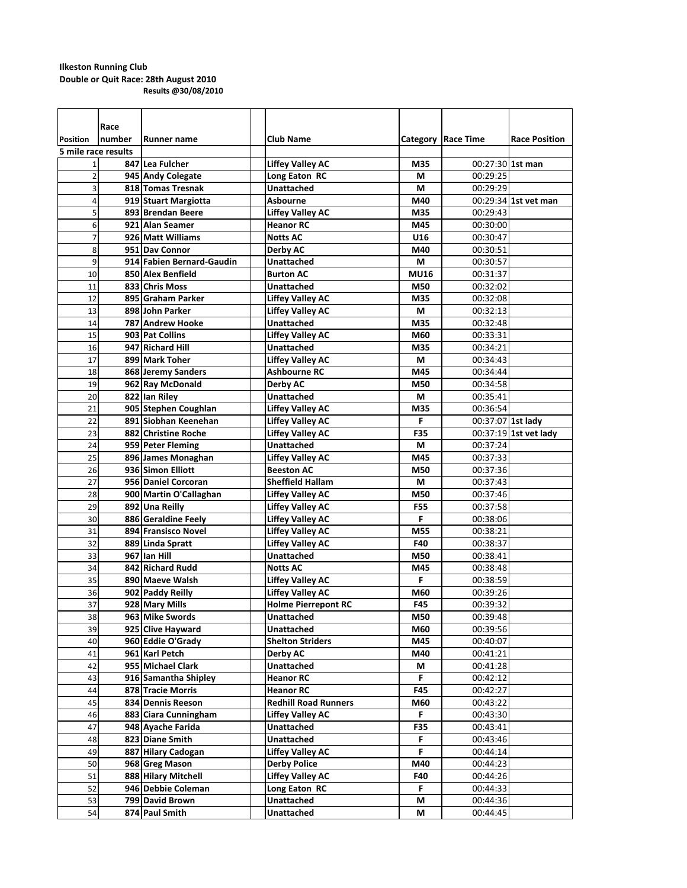|                     | Race   |                           |                             |             |                      |                       |
|---------------------|--------|---------------------------|-----------------------------|-------------|----------------------|-----------------------|
| <b>Position</b>     | number | Runner name               | <b>Club Name</b>            |             | Category   Race Time | <b>Race Position</b>  |
| 5 mile race results |        |                           |                             |             |                      |                       |
| 1                   |        | 847 Lea Fulcher           | <b>Liffey Valley AC</b>     | M35         | 00:27:30 1st man     |                       |
| $\overline{2}$      |        | 945 Andy Colegate         | Long Eaton RC               | М           | 00:29:25             |                       |
| 3                   |        | 818 Tomas Tresnak         | <b>Unattached</b>           | М           | 00:29:29             |                       |
| 4                   |        | 919 Stuart Margiotta      | <b>Asbourne</b>             | M40         |                      | 00:29:34 1st vet man  |
| 5                   |        | 893 Brendan Beere         | <b>Liffey Valley AC</b>     | M35         | 00:29:43             |                       |
| 6                   |        | 921 Alan Seamer           | <b>Heanor RC</b>            | M45         | 00:30:00             |                       |
| $\overline{7}$      |        | 926 Matt Williams         | <b>Notts AC</b>             | U16         | 00:30:47             |                       |
| 8                   |        | 951 Day Connor            | Derby AC                    | M40         | 00:30:51             |                       |
| 9                   |        | 914 Fabien Bernard-Gaudin | <b>Unattached</b>           | М           | 00:30:57             |                       |
| 10                  |        | 850 Alex Benfield         | <b>Burton AC</b>            | <b>MU16</b> | 00:31:37             |                       |
| 11                  |        | 833 Chris Moss            | <b>Unattached</b>           | M50         | 00:32:02             |                       |
| 12                  |        | 895 Graham Parker         | <b>Liffey Valley AC</b>     | M35         | 00:32:08             |                       |
| 13                  |        | 898 John Parker           | <b>Liffey Valley AC</b>     | М           | 00:32:13             |                       |
| 14                  |        | 787 Andrew Hooke          | <b>Unattached</b>           | M35         | 00:32:48             |                       |
| 15                  |        | 903 Pat Collins           | <b>Liffey Valley AC</b>     | M60         | 00:33:31             |                       |
| 16                  |        | 947 Richard Hill          | <b>Unattached</b>           | M35         | 00:34:21             |                       |
| 17                  |        | 899 Mark Toher            | <b>Liffey Valley AC</b>     | М           | 00:34:43             |                       |
| 18                  |        | 868 Jeremy Sanders        | <b>Ashbourne RC</b>         | M45         | 00:34:44             |                       |
| 19                  |        | 962 Ray McDonald          | Derby AC                    | M50         | 00:34:58             |                       |
| 20                  |        | 822 Ian Riley             | <b>Unattached</b>           | м           | 00:35:41             |                       |
| 21                  |        | 905 Stephen Coughlan      | <b>Liffey Valley AC</b>     | M35         | 00:36:54             |                       |
| 22                  |        | 891 Siobhan Keenehan      | <b>Liffey Valley AC</b>     | F           | 00:37:07 1st lady    |                       |
| 23                  |        | 882 Christine Roche       | <b>Liffey Valley AC</b>     | F35         |                      | 00:37:19 1st vet lady |
| 24                  |        | 959 Peter Fleming         | Unattached                  | м           | 00:37:24             |                       |
| 25                  |        | 896 James Monaghan        | <b>Liffey Valley AC</b>     | M45         | 00:37:33             |                       |
| 26                  |        | 936 Simon Elliott         | <b>Beeston AC</b>           | M50         | 00:37:36             |                       |
| 27                  |        | 956 Daniel Corcoran       | <b>Sheffield Hallam</b>     | М           | 00:37:43             |                       |
| 28                  |        | 900 Martin O'Callaghan    | <b>Liffey Valley AC</b>     | M50         | 00:37:46             |                       |
| 29                  |        | 892 Una Reilly            | <b>Liffey Valley AC</b>     | <b>F55</b>  | 00:37:58             |                       |
| 30                  |        | 886 Geraldine Feely       | <b>Liffey Valley AC</b>     | F           | 00:38:06             |                       |
| 31                  |        | 894 Fransisco Novel       | <b>Liffey Valley AC</b>     | M55         | 00:38:21             |                       |
| 32                  |        | 889 Linda Spratt          | <b>Liffey Valley AC</b>     | F40         | 00:38:37             |                       |
| 33                  |        | 967 Ian Hill              | Unattached                  | M50         | 00:38:41             |                       |
| 34                  |        | 842 Richard Rudd          | <b>Notts AC</b>             | M45         | 00:38:48             |                       |
| 35                  |        | 890 Maeve Walsh           | <b>Liffey Valley AC</b>     | F           | 00:38:59             |                       |
| 36                  |        | 902 Paddy Reilly          | <b>Liffey Valley AC</b>     | M60         | 00:39:26             |                       |
| 37                  |        | 928 Mary Mills            | <b>Holme Pierrepont RC</b>  | <b>F45</b>  | 00:39:32             |                       |
| 38                  |        | 963 Mike Swords           | <b>Unattached</b>           | M50         | 00:39:48             |                       |
| 39                  |        | 925 Clive Hayward         | Unattached                  | M60         | 00:39:56             |                       |
| 40                  |        | 960 Eddie O'Grady         | <b>Shelton Striders</b>     | M45         | 00:40:07             |                       |
| 41                  |        | 961 Karl Petch            | Derby AC                    | M40         | 00:41:21             |                       |
| 42                  |        | 955 Michael Clark         | Unattached                  | М           | 00:41:28             |                       |
| 43                  |        | 916 Samantha Shipley      | <b>Heanor RC</b>            | F.          | 00:42:12             |                       |
| 44                  |        | 878 Tracie Morris         | <b>Heanor RC</b>            | F45         | 00:42:27             |                       |
| 45                  |        | 834 Dennis Reeson         | <b>Redhill Road Runners</b> | M60         | 00:43:22             |                       |
| 46                  |        | 883 Ciara Cunningham      | <b>Liffey Valley AC</b>     | F.          | 00:43:30             |                       |
| 47                  |        | 948 Ayache Farida         | <b>Unattached</b>           | F35         | 00:43:41             |                       |
| 48                  |        | 823 Diane Smith           | <b>Unattached</b>           | F           | 00:43:46             |                       |
| 49                  |        | 887 Hilary Cadogan        | <b>Liffey Valley AC</b>     | F           | 00:44:14             |                       |
| 50                  |        | 968 Greg Mason            | <b>Derby Police</b>         | M40         | 00:44:23             |                       |
| 51                  |        | 888 Hilary Mitchell       | <b>Liffey Valley AC</b>     | F40         | 00:44:26             |                       |
| 52                  |        | 946 Debbie Coleman        | Long Eaton RC               | F           | 00:44:33             |                       |
| 53                  |        | 799 David Brown           | Unattached                  | М           | 00:44:36             |                       |
| 54                  |        | 874 Paul Smith            | <b>Unattached</b>           | М           | 00:44:45             |                       |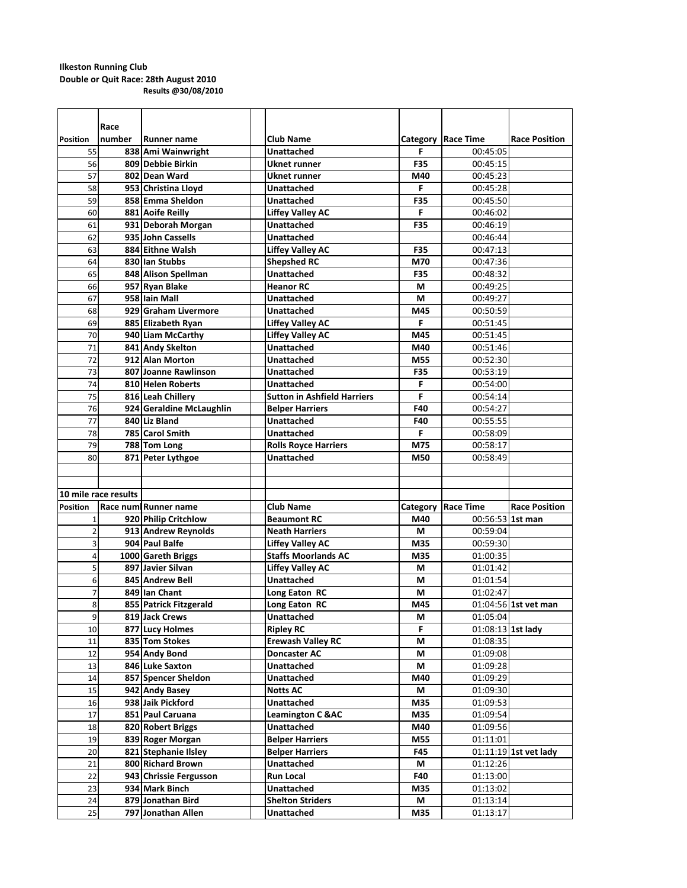|                      | Race   |                          |                                    |     |                      |                       |
|----------------------|--------|--------------------------|------------------------------------|-----|----------------------|-----------------------|
| <b>Position</b>      | number | Runner name              | <b>Club Name</b>                   |     | Category   Race Time | <b>Race Position</b>  |
| 55                   |        | 838 Ami Wainwright       | <b>Unattached</b>                  | F   | 00:45:05             |                       |
| 56                   |        | 809 Debbie Birkin        | <b>Uknet runner</b>                | F35 | 00:45:15             |                       |
| 57                   |        | 802 Dean Ward            | <b>Uknet runner</b>                | M40 | 00:45:23             |                       |
| 58                   |        | 953 Christina Lloyd      | <b>Unattached</b>                  | F   | 00:45:28             |                       |
| 59                   |        | 858 Emma Sheldon         | <b>Unattached</b>                  | F35 | 00:45:50             |                       |
| 60                   |        | 881 Aoife Reilly         | <b>Liffey Valley AC</b>            | F   | 00:46:02             |                       |
| 61                   |        | 931 Deborah Morgan       | Unattached                         | F35 | 00:46:19             |                       |
| 62                   |        | 935 John Cassells        | <b>Unattached</b>                  |     | 00:46:44             |                       |
| 63                   |        | 884 Eithne Walsh         | <b>Liffey Valley AC</b>            | F35 | 00:47:13             |                       |
| 64                   |        | 830 lan Stubbs           | <b>Shepshed RC</b>                 | M70 | 00:47:36             |                       |
| 65                   |        | 848 Alison Spellman      | <b>Unattached</b>                  | F35 | 00:48:32             |                       |
| 66                   |        | 957 Ryan Blake           | <b>Heanor RC</b>                   | М   | 00:49:25             |                       |
| 67                   |        | 958 Iain Mall            | Unattached                         | M   | 00:49:27             |                       |
| 68                   |        | 929 Graham Livermore     | <b>Unattached</b>                  | M45 | 00:50:59             |                       |
| 69                   |        | 885 Elizabeth Ryan       | <b>Liffey Valley AC</b>            | F   | 00:51:45             |                       |
| 70                   |        | 940 Liam McCarthy        | <b>Liffey Valley AC</b>            | M45 | 00:51:45             |                       |
| 71                   |        | 841 Andy Skelton         | <b>Unattached</b>                  | M40 | 00:51:46             |                       |
| 72                   |        | 912 Alan Morton          | <b>Unattached</b>                  | M55 | 00:52:30             |                       |
| 73                   |        | 807 Joanne Rawlinson     | <b>Unattached</b>                  | F35 | 00:53:19             |                       |
| 74                   |        | 810 Helen Roberts        | <b>Unattached</b>                  | F   | 00:54:00             |                       |
| 75                   |        | 816 Leah Chillery        | <b>Sutton in Ashfield Harriers</b> | F   | 00:54:14             |                       |
| 76                   |        | 924 Geraldine McLaughlin | <b>Belper Harriers</b>             | F40 | 00:54:27             |                       |
| 77                   |        | 840 Liz Bland            | <b>Unattached</b>                  | F40 | 00:55:55             |                       |
| 78                   |        | 785 Carol Smith          | <b>Unattached</b>                  | F   | 00:58:09             |                       |
| 79                   |        | 788 Tom Long             | <b>Rolls Royce Harriers</b>        | M75 | 00:58:17             |                       |
| 80                   |        | 871 Peter Lythgoe        | <b>Unattached</b>                  | M50 | 00:58:49             |                       |
|                      |        |                          |                                    |     |                      |                       |
|                      |        |                          |                                    |     |                      |                       |
|                      |        |                          |                                    |     |                      |                       |
|                      |        |                          |                                    |     |                      |                       |
| 10 mile race results |        |                          |                                    |     |                      |                       |
| <b>Position</b>      |        | Race num Runner name     | <b>Club Name</b>                   |     | Category Race Time   | <b>Race Position</b>  |
| $\mathbf{1}$         |        | 920 Philip Critchlow     | <b>Beaumont RC</b>                 | M40 | 00:56:53 1st man     |                       |
| 2                    |        | 913 Andrew Reynolds      | <b>Neath Harriers</b>              | М   | 00:59:04             |                       |
| 3                    |        | 904 Paul Balfe           | <b>Liffey Valley AC</b>            | M35 | 00:59:30             |                       |
| 4                    |        | 1000 Gareth Briggs       | <b>Staffs Moorlands AC</b>         | M35 | 01:00:35             |                       |
| 5                    |        | 897 Javier Silvan        | <b>Liffey Valley AC</b>            | M   | 01:01:42             |                       |
| 6                    |        | 845 Andrew Bell          | <b>Unattached</b>                  | М   | 01:01:54             |                       |
| 7                    |        | 849 Ian Chant            | Long Eaton RC                      | М   | 01:02:47             |                       |
| 8                    |        | 855 Patrick Fitzgerald   | Long Eaton RC                      | M45 |                      | 01:04:56 1st vet man  |
| 9                    |        | 819 Jack Crews           | Unattached                         | М   | 01:05:04             |                       |
| 10                   |        | 877 Lucy Holmes          | <b>Ripley RC</b>                   | F   | 01:08:13 1st lady    |                       |
| 11                   |        | 835 Tom Stokes           | <b>Erewash Valley RC</b>           | М   | 01:08:35             |                       |
| 12                   |        | 954 Andy Bond            | <b>Doncaster AC</b>                | М   | 01:09:08             |                       |
| 13                   |        | 846 Luke Saxton          | Unattached                         | М   | 01:09:28             |                       |
| 14                   |        | 857 Spencer Sheldon      | Unattached                         | M40 | 01:09:29             |                       |
| 15                   |        | 942 Andy Basey           | <b>Notts AC</b>                    | М   | 01:09:30             |                       |
| 16                   |        | 938 Jaik Pickford        | <b>Unattached</b>                  | M35 | 01:09:53             |                       |
| 17                   |        | 851 Paul Caruana         | <b>Leamington C &amp; AC</b>       | M35 | 01:09:54             |                       |
| 18                   |        | 820 Robert Briggs        | Unattached                         | M40 | 01:09:56             |                       |
| 19                   |        | 839 Roger Morgan         | <b>Belper Harriers</b>             | M55 | 01:11:01             |                       |
| 20                   |        | 821 Stephanie Ilsley     | <b>Belper Harriers</b>             | F45 |                      | 01:11:19 1st vet lady |
| 21                   |        | 800 Richard Brown        | Unattached                         | М   | 01:12:26             |                       |
| 22                   |        | 943 Chrissie Fergusson   | <b>Run Local</b>                   | F40 | 01:13:00             |                       |
| 23                   |        | 934 Mark Binch           | Unattached                         | M35 | 01:13:02             |                       |
| 24                   |        | 879 Jonathan Bird        | <b>Shelton Striders</b>            | М   | 01:13:14<br>01:13:17 |                       |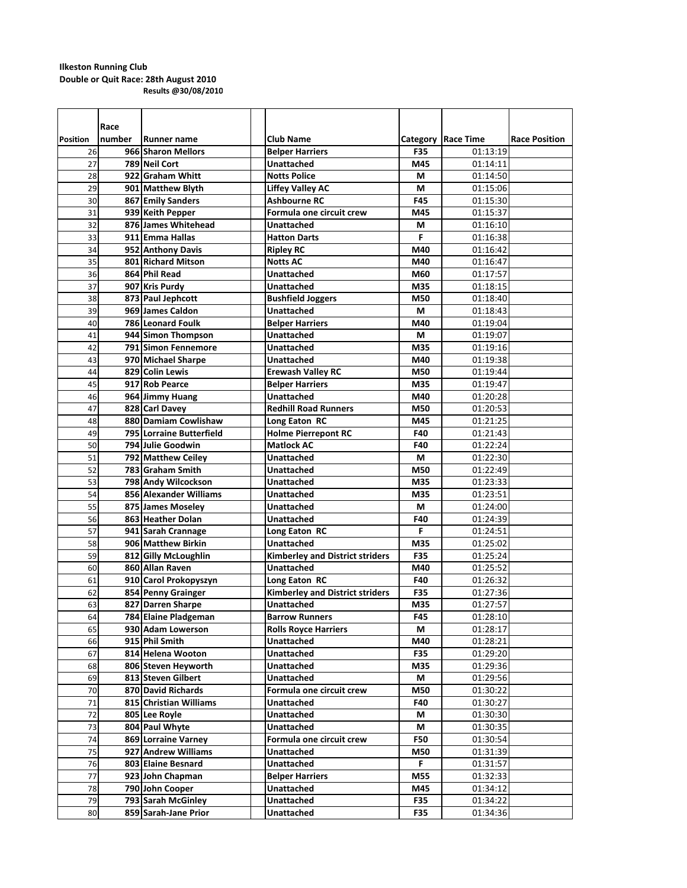|                 | Race   |                                     |                                                |                   |                      |                      |
|-----------------|--------|-------------------------------------|------------------------------------------------|-------------------|----------------------|----------------------|
| <b>Position</b> | number |                                     |                                                |                   |                      |                      |
|                 |        | <b>Runner name</b>                  | <b>Club Name</b>                               |                   | Category Race Time   | <b>Race Position</b> |
| 26<br>27        |        | 966 Sharon Mellors<br>789 Neil Cort | <b>Belper Harriers</b><br><b>Unattached</b>    | <b>F35</b><br>M45 | 01:13:19             |                      |
| 28              |        | 922 Graham Whitt                    |                                                | М                 | 01:14:11<br>01:14:50 |                      |
|                 |        | 901 Matthew Blyth                   | <b>Notts Police</b><br><b>Liffey Valley AC</b> |                   |                      |                      |
| 29              |        |                                     | <b>Ashbourne RC</b>                            | М                 | 01:15:06             |                      |
| 30              |        | 867 Emily Sanders                   |                                                | <b>F45</b>        | 01:15:30             |                      |
| 31              |        | 939 Keith Pepper                    | Formula one circuit crew                       | M45               | 01:15:37             |                      |
| 32              |        | 876 James Whitehead                 | <b>Unattached</b>                              | М                 | 01:16:10             |                      |
| 33              |        | 911 Emma Hallas                     | <b>Hatton Darts</b>                            | F                 | 01:16:38             |                      |
| 34              |        | 952 Anthony Davis                   | <b>Ripley RC</b>                               | M40               | 01:16:42             |                      |
| 35              |        | 801 Richard Mitson                  | <b>Notts AC</b>                                | M40               | 01:16:47             |                      |
| 36              |        | 864 Phil Read                       | <b>Unattached</b>                              | M60               | 01:17:57             |                      |
| 37              |        | 907 Kris Purdy                      | <b>Unattached</b>                              | M35               | 01:18:15             |                      |
| 38              |        | 873 Paul Jephcott                   | <b>Bushfield Joggers</b>                       | M50               | 01:18:40             |                      |
| 39              |        | 969 James Caldon                    | <b>Unattached</b>                              | M                 | 01:18:43             |                      |
| 40              |        | <b>786 Leonard Foulk</b>            | <b>Belper Harriers</b>                         | M40               | 01:19:04             |                      |
| 41              |        | 944 Simon Thompson                  | <b>Unattached</b>                              | М                 | 01:19:07             |                      |
| 42              |        | 791 Simon Fennemore                 | <b>Unattached</b>                              | M35               | 01:19:16             |                      |
| 43              |        | 970 Michael Sharpe                  | <b>Unattached</b>                              | M40               | 01:19:38             |                      |
| 44              |        | 829 Colin Lewis                     | <b>Erewash Valley RC</b>                       | M50               | 01:19:44             |                      |
| 45              |        | 917 Rob Pearce                      | <b>Belper Harriers</b>                         | M35               | 01:19:47             |                      |
| 46              |        | 964 Jimmy Huang                     | Unattached                                     | M40               | 01:20:28             |                      |
| 47              |        | 828 Carl Davey                      | <b>Redhill Road Runners</b>                    | M50               | 01:20:53             |                      |
| 48              |        | 880 Damiam Cowlishaw                | Long Eaton RC                                  | M45               | 01:21:25             |                      |
| 49              |        | 795 Lorraine Butterfield            | <b>Holme Pierrepont RC</b>                     | F40               | 01:21:43             |                      |
| 50              |        | 794 Julie Goodwin                   | <b>Matlock AC</b>                              | F40               | 01:22:24             |                      |
| 51              |        | 792 Matthew Ceiley                  | <b>Unattached</b>                              | М                 | 01:22:30             |                      |
| 52              |        | 783 Graham Smith                    | <b>Unattached</b>                              | M50               | 01:22:49             |                      |
| 53              |        | 798 Andy Wilcockson                 | <b>Unattached</b>                              | M35               | 01:23:33             |                      |
| 54              |        | 856 Alexander Williams              | <b>Unattached</b>                              | M35               | 01:23:51             |                      |
| 55              |        | 875 James Moseley                   | <b>Unattached</b>                              | М                 | 01:24:00             |                      |
| 56              |        | 863 Heather Dolan                   | Unattached                                     | F40               | 01:24:39             |                      |
| 57              |        | 941 Sarah Crannage                  | Long Eaton RC                                  | F                 | 01:24:51             |                      |
| 58              |        | 906 Matthew Birkin                  | <b>Unattached</b>                              | M35               | 01:25:02             |                      |
| 59              |        | 812 Gilly McLoughlin                | <b>Kimberley and District striders</b>         | F35               | 01:25:24             |                      |
| 60              |        | 860 Allan Raven                     | <b>Unattached</b>                              | M40               | 01:25:52             |                      |
| 61              |        | 910 Carol Prokopyszyn               | Long Eaton RC                                  | F40               | 01:26:32             |                      |
| 62              |        | 854 Penny Grainger                  | <b>Kimberley and District striders</b>         | <b>F35</b>        | 01:27:36             |                      |
| 63              |        | 827 Darren Sharpe                   | <b>Unattached</b>                              | M35               | 01:27:57             |                      |
| 64              |        | 784 Elaine Pladgeman                | <b>Barrow Runners</b>                          | F45               | 01:28:10             |                      |
| 65              |        | 930 Adam Lowerson                   | <b>Rolls Royce Harriers</b>                    | М                 | 01:28:17             |                      |
| 66              |        | 915 Phil Smith                      | <b>Unattached</b>                              | M40               | 01:28:21             |                      |
| 67              |        | 814 Helena Wooton                   | Unattached                                     | F35               | 01:29:20             |                      |
| 68              |        | 806 Steven Heyworth                 | <b>Unattached</b>                              | M35               | 01:29:36             |                      |
| 69              |        | 813 Steven Gilbert                  | <b>Unattached</b>                              | М                 | 01:29:56             |                      |
| 70              |        | 870 David Richards                  | Formula one circuit crew                       | M50               | 01:30:22             |                      |
|                 |        |                                     |                                                |                   |                      |                      |
| 71              |        | 815 Christian Williams              | Unattached                                     | F40               | 01:30:27             |                      |
| 72              |        | 805 Lee Royle                       | Unattached                                     | М                 | 01:30:30             |                      |
| 73              |        | 804 Paul Whyte                      | Unattached                                     | М                 | 01:30:35             |                      |
| 74              |        | 869 Lorraine Varney                 | Formula one circuit crew                       | <b>F50</b>        | 01:30:54             |                      |
| 75              |        | 927 Andrew Williams                 | <b>Unattached</b>                              | M50               | 01:31:39             |                      |
| 76              |        | 803 Elaine Besnard                  | Unattached                                     | F                 | 01:31:57             |                      |
| 77              |        | 923 John Chapman                    | <b>Belper Harriers</b>                         | M55               | 01:32:33             |                      |
| 78              |        | 790 John Cooper                     | Unattached                                     | M45               | 01:34:12             |                      |
| 79              |        | 793 Sarah McGinley                  | Unattached                                     | <b>F35</b>        | 01:34:22             |                      |
| 80              |        | 859 Sarah-Jane Prior                | <b>Unattached</b>                              | F35               | 01:34:36             |                      |